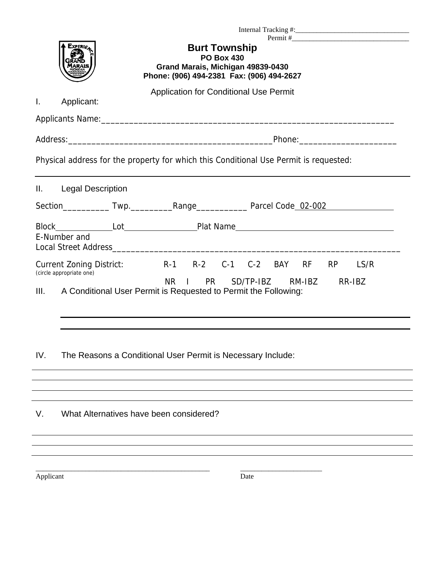|                                                                                                                                                                                                                                | Experi <sub>e</sub> | <b>Burt Township</b><br><b>PO Box 430</b><br>Grand Marais, Michigan 49839-0430<br>Phone: (906) 494-2381 Fax: (906) 494-2627 |  |
|--------------------------------------------------------------------------------------------------------------------------------------------------------------------------------------------------------------------------------|---------------------|-----------------------------------------------------------------------------------------------------------------------------|--|
| L.                                                                                                                                                                                                                             | Applicant:          | <b>Application for Conditional Use Permit</b>                                                                               |  |
|                                                                                                                                                                                                                                |                     |                                                                                                                             |  |
| Physical address for the property for which this Conditional Use Permit is requested:<br>Ш.<br><b>Legal Description</b>                                                                                                        |                     |                                                                                                                             |  |
|                                                                                                                                                                                                                                |                     |                                                                                                                             |  |
| E-Number and                                                                                                                                                                                                                   |                     |                                                                                                                             |  |
| <b>Current Zoning District:</b><br>R-1 R-2 C-1 C-2 BAY RF<br>LS/R<br><b>RP</b><br>(circle appropriate one)<br>NR I PR<br>SD/TP-IBZ RM-IBZ<br>RR-IBZ<br>III.<br>A Conditional User Permit is Requested to Permit the Following: |                     |                                                                                                                             |  |
| IV.                                                                                                                                                                                                                            |                     | The Reasons a Conditional User Permit is Necessary Include:                                                                 |  |
|                                                                                                                                                                                                                                |                     |                                                                                                                             |  |

V. What Alternatives have been considered?

\_\_\_\_\_\_\_\_\_\_\_\_\_\_\_\_\_\_\_\_\_\_\_\_\_\_\_\_\_\_\_\_\_\_\_\_\_\_\_\_\_\_\_\_\_\_\_\_\_ \_\_\_\_\_\_\_\_\_\_\_\_\_\_\_\_\_\_\_\_\_\_\_

Applicant Date